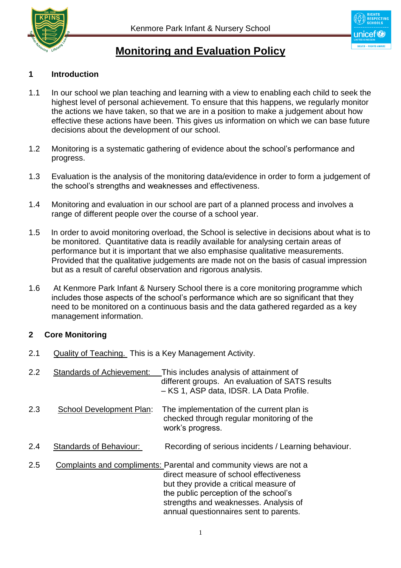



# **Monitoring and Evaluation Policy**

## **1 Introduction**

- 1.1 In our school we plan teaching and learning with a view to enabling each child to seek the highest level of personal achievement. To ensure that this happens, we regularly monitor the actions we have taken, so that we are in a position to make a judgement about how effective these actions have been. This gives us information on which we can base future decisions about the development of our school.
- 1.2 Monitoring is a systematic gathering of evidence about the school's performance and progress.
- 1.3 Evaluation is the analysis of the monitoring data/evidence in order to form a judgement of the school's strengths and weaknesses and effectiveness.
- 1.4 Monitoring and evaluation in our school are part of a planned process and involves a range of different people over the course of a school year.
- 1.5 In order to avoid monitoring overload, the School is selective in decisions about what is to be monitored. Quantitative data is readily available for analysing certain areas of performance but it is important that we also emphasise qualitative measurements. Provided that the qualitative judgements are made not on the basis of casual impression but as a result of careful observation and rigorous analysis.
- 1.6 At Kenmore Park Infant & Nursery School there is a core monitoring programme which includes those aspects of the school's performance which are so significant that they need to be monitored on a continuous basis and the data gathered regarded as a key management information.

## **2 Core Monitoring**

- 2.1 Quality of Teaching. This is a Key Management Activity.
- 2.2 Standards of Achievement: This includes analysis of attainment of different groups. An evaluation of SATS results – KS 1, ASP data, IDSR. LA Data Profile. 2.3 School Development Plan: The implementation of the current plan is
	- checked through regular monitoring of the work's progress.
- 2.4 Standards of Behaviour: Recording of serious incidents / Learning behaviour.
- 2.5 Complaints and compliments: Parental and community views are not a direct measure of school effectiveness but they provide a critical measure of the public perception of the school's strengths and weaknesses. Analysis of annual questionnaires sent to parents.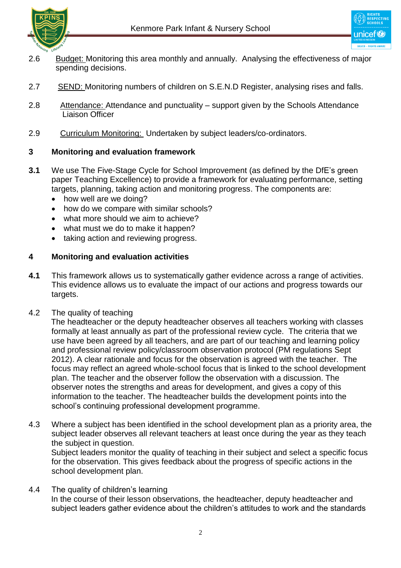

- 2.6 Budget: Monitoring this area monthly and annually. Analysing the effectiveness of major spending decisions.
- 2.7 SEND: Monitoring numbers of children on S.E.N.D Register, analysing rises and falls.
- 2.8 Attendance: Attendance and punctuality support given by the Schools Attendance Liaison Officer
- 2.9 Curriculum Monitoring: Undertaken by subject leaders/co-ordinators.

# **3 Monitoring and evaluation framework**

- **3.1** We use The Five-Stage Cycle for School Improvement (as defined by the DfE's green paper Teaching Excellence) to provide a framework for evaluating performance, setting targets, planning, taking action and monitoring progress. The components are:
	- how well are we doing?
	- how do we compare with similar schools?
	- what more should we aim to achieve?
	- what must we do to make it happen?
	- taking action and reviewing progress.

# **4 Monitoring and evaluation activities**

- **4.1** This framework allows us to systematically gather evidence across a range of activities. This evidence allows us to evaluate the impact of our actions and progress towards our targets.
- 4.2 The quality of teaching

 The headteacher or the deputy headteacher observes all teachers working with classes formally at least annually as part of the professional review cycle. The criteria that we use have been agreed by all teachers, and are part of our teaching and learning policy and professional review policy/classroom observation protocol (PM regulations Sept 2012). A clear rationale and focus for the observation is agreed with the teacher. The focus may reflect an agreed whole-school focus that is linked to the school development plan. The teacher and the observer follow the observation with a discussion. The observer notes the strengths and areas for development, and gives a copy of this information to the teacher. The headteacher builds the development points into the school's continuing professional development programme.

4.3 Where a subject has been identified in the school development plan as a priority area, the subject leader observes all relevant teachers at least once during the year as they teach the subject in question.

Subiect leaders monitor the quality of teaching in their subject and select a specific focus for the observation. This gives feedback about the progress of specific actions in the school development plan.

4.4 The quality of children's learning In the course of their lesson observations, the headteacher, deputy headteacher and subject leaders gather evidence about the children's attitudes to work and the standards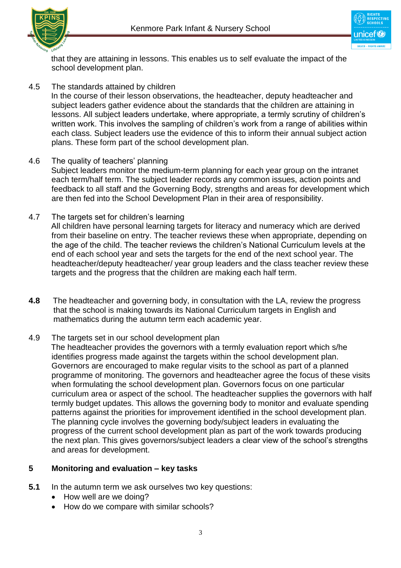



 that they are attaining in lessons. This enables us to self evaluate the impact of the school development plan.

4.5 The standards attained by children

 In the course of their lesson observations, the headteacher, deputy headteacher and subject leaders gather evidence about the standards that the children are attaining in lessons. All subject leaders undertake, where appropriate, a termly scrutiny of children's written work. This involves the sampling of children's work from a range of abilities within each class. Subject leaders use the evidence of this to inform their annual subject action plans. These form part of the school development plan.

- 4.6 The quality of teachers' planning Subject leaders monitor the medium-term planning for each year group on the intranet each term/half term. The subject leader records any common issues, action points and feedback to all staff and the Governing Body, strengths and areas for development which are then fed into the School Development Plan in their area of responsibility.
- 4.7 The targets set for children's learning All children have personal learning targets for literacy and numeracy which are derived from their baseline on entry. The teacher reviews these when appropriate, depending on the age of the child. The teacher reviews the children's National Curriculum levels at the end of each school year and sets the targets for the end of the next school year. The headteacher/deputy headteacher/ year group leaders and the class teacher review these targets and the progress that the children are making each half term.
- **4.8** The headteacher and governing body, in consultation with the LA, review the progress that the school is making towards its National Curriculum targets in English and mathematics during the autumn term each academic year.
- 4.9 The targets set in our school development plan

 The headteacher provides the governors with a termly evaluation report which s/he identifies progress made against the targets within the school development plan. Governors are encouraged to make regular visits to the school as part of a planned programme of monitoring. The governors and headteacher agree the focus of these visits when formulating the school development plan. Governors focus on one particular curriculum area or aspect of the school. The headteacher supplies the governors with half termly budget updates. This allows the governing body to monitor and evaluate spending patterns against the priorities for improvement identified in the school development plan. The planning cycle involves the governing body/subject leaders in evaluating the progress of the current school development plan as part of the work towards producing the next plan. This gives governors/subject leaders a clear view of the school's strengths and areas for development.

### **5 Monitoring and evaluation – key tasks**

- **5.1** In the autumn term we ask ourselves two key questions:
	- How well are we doing?
	- How do we compare with similar schools?